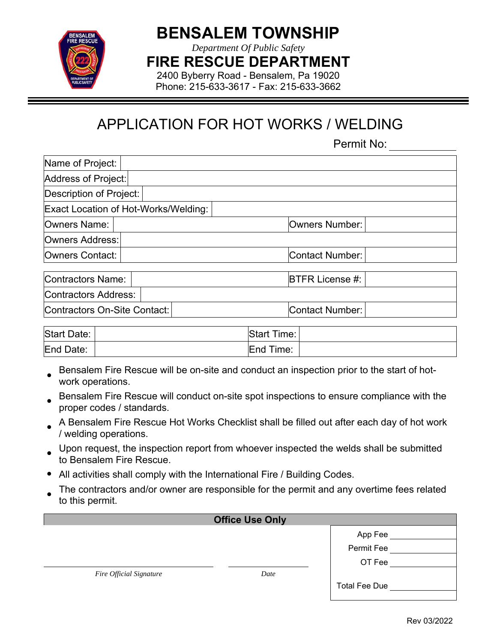

## **BENSALEM TOWNSHIP**

*Department Of Public Safety* 

**FIRE RESCUE DEPARTMENT** 

2400 Byberry Road - Bensalem, Pa 19020 Phone: 215-633-3617 - Fax: 215-633-3662

## APPLICATION FOR HOT WORKS / WELDING

Permit No:

| Name of Project:             |                                      |                        |
|------------------------------|--------------------------------------|------------------------|
| Address of Project:          |                                      |                        |
| Description of Project:      |                                      |                        |
|                              | Exact Location of Hot-Works/Welding: |                        |
| Owners Name:                 |                                      | Owners Number:         |
| Owners Address:              |                                      |                        |
| Owners Contact:              |                                      | Contact Number:        |
| Contractors Name:            |                                      | <b>BTFR License #:</b> |
| Contractors Address:         |                                      |                        |
| Contractors On-Site Contact: |                                      | Contact Number:        |
|                              |                                      |                        |

| Start Date: | <b>Start Time:</b> |  |
|-------------|--------------------|--|
| End Date:   | End Time:          |  |

- Bensalem Fire Rescue will be on-site and conduct an inspection prior to the start of hotwork operations.
- Bensalem Fire Rescue will conduct on-site spot inspections to ensure compliance with the proper codes / standards.
- A Bensalem Fire Rescue Hot Works Checklist shall be filled out after each day of hot work / welding operations.
- Upon request, the inspection report from whoever inspected the welds shall be submitted to Bensalem Fire Rescue.
- All activities shall comply with the International Fire / Building Codes.
- The contractors and/or owner are responsible for the permit and any overtime fees related to this permit.

| <b>Office Use Only</b>         |      |                      |  |  |  |  |  |
|--------------------------------|------|----------------------|--|--|--|--|--|
|                                |      | App Fee              |  |  |  |  |  |
|                                |      | Permit Fee           |  |  |  |  |  |
|                                |      | OT Fee               |  |  |  |  |  |
| <b>Fire Official Signature</b> | Date |                      |  |  |  |  |  |
|                                |      | <b>Total Fee Due</b> |  |  |  |  |  |